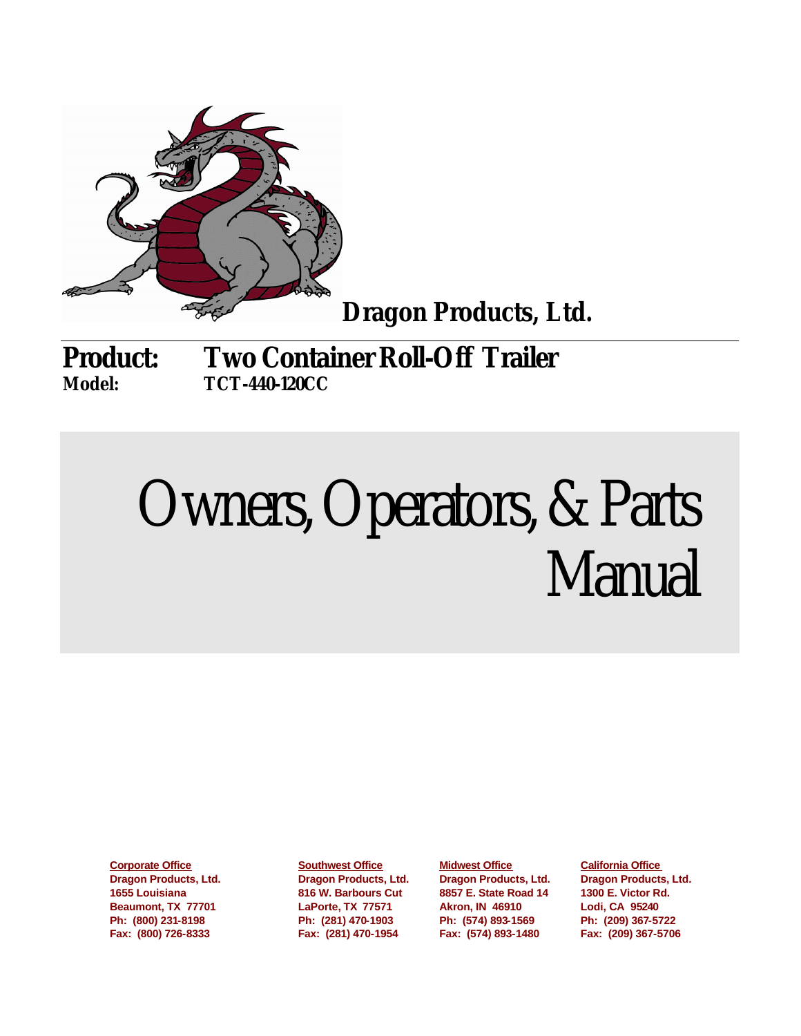

**Dragon Products, Ltd.**

**Product: Two Container Roll-Off Trailer Model: TCT-440-120CC**

# Owners, Operators, & Parts Manual

**Dragon Products, Ltd. Dragon Products, Ltd. Dragon Products, Ltd. Dragon Products, Ltd. 1655 Louisiana 816 W. Barbours Cut 8857 E. State Road 14 1300 E. Victor Rd. Beaumont, TX 77701 LaPorte, TX 77571 Akron, IN 46910 Lodi, CA 95240 Fax: (800) 726-8333 Fax: (281) 470-1954 Fax: (574) 893-1480 Fax: (209) 367-5706** 

**Corporate Office Southwest Office Midwest Office California Office Ph: (800) 231-8198 Ph: (281) 470-1903 Ph: (574) 893-1569 Ph: (209) 367-5722**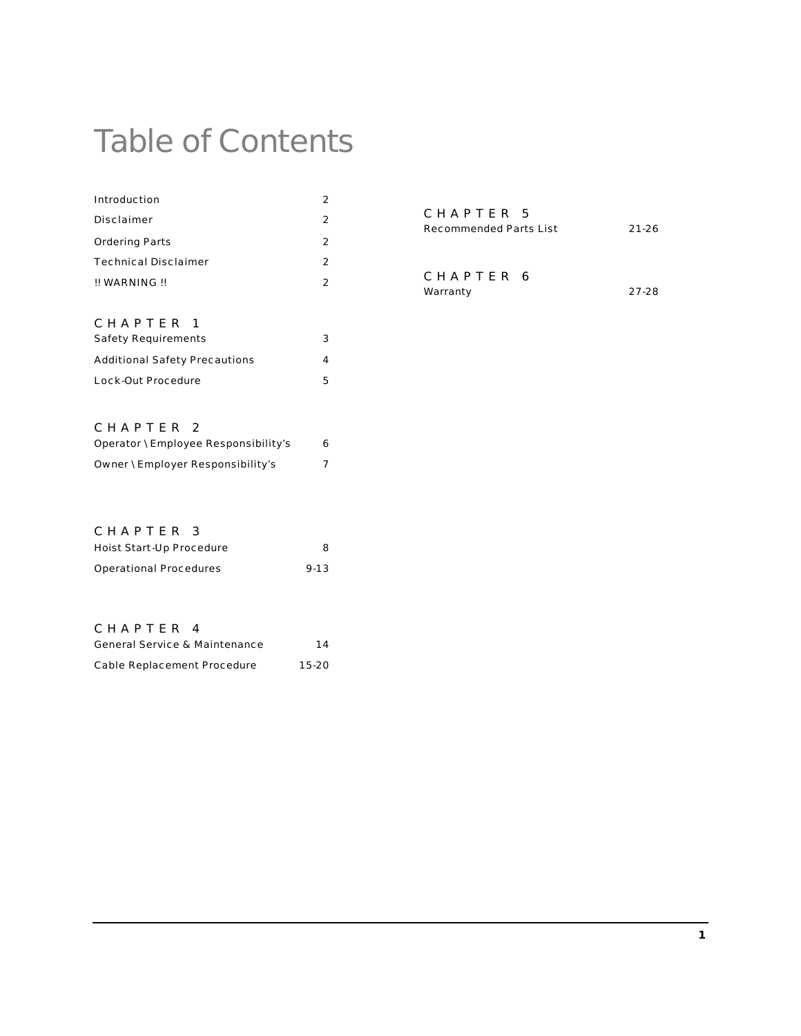## Table of Contents

| Introduction                | 2 |
|-----------------------------|---|
| Disclaimer                  | 2 |
| <b>Ordering Parts</b>       | 2 |
| <b>Technical Disclaimer</b> | 2 |
| !! WARNING !!               | 2 |
|                             |   |
| CHAPTFR<br>- 1              |   |

| <b>Safety Requirements</b>           | 3 |
|--------------------------------------|---|
| <b>Additional Safety Precautions</b> | 4 |
| Lock-Out Procedure                   | 5 |

| CHAPTER 5              |           |
|------------------------|-----------|
| Recommended Parts List | $21 - 26$ |
|                        |           |
|                        |           |
| CHAPTER 6              |           |
| Warranty               | 27-28     |

#### CHAPTER 2

| Operator \ Employee Responsibility's | 6 |
|--------------------------------------|---|
| Owner \ Employer Responsibility's    |   |

#### CHAPTER 3

| Hoist Start-Up Procedure | 8        |
|--------------------------|----------|
| Operational Procedures   | $9 - 13$ |

#### CHAPTER 4

| General Service & Maintenance | 14    |
|-------------------------------|-------|
| Cable Replacement Procedure   | 15-20 |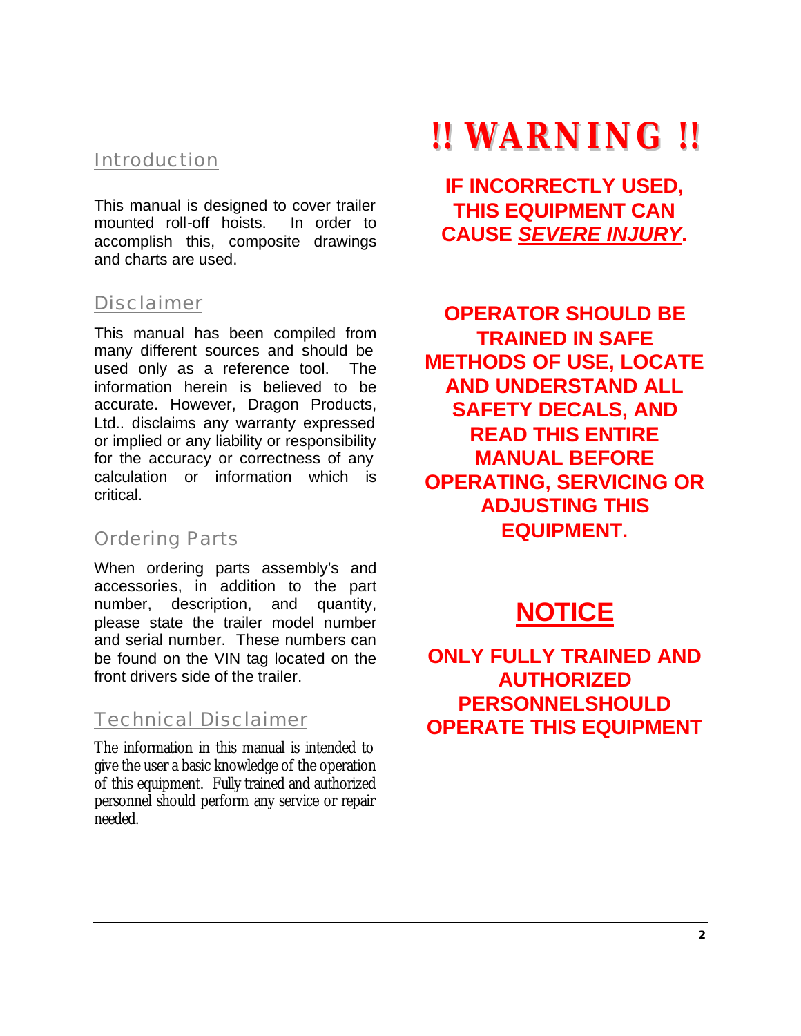## Introduction

This manual is designed to cover trailer mounted roll-off hoists. In order to accomplish this, composite drawings and charts are used.

#### Disclaimer

This manual has been compiled from many different sources and should be used only as a reference tool. The information herein is believed to be accurate. However, Dragon Products, Ltd.. disclaims any warranty expressed or implied or any liability or responsibility for the accuracy or correctness of any calculation or information which is critical.

#### Ordering Parts

When ordering parts assembly's and accessories, in addition to the part number, description, and quantity, please state the trailer model number and serial number. These numbers can be found on the VIN tag located on the front drivers side of the trailer.

#### Technical Disclaimer

The information in this manual is intended to give the user a basic knowledge of the operation of this equipment. Fully trained and authorized personnel should perform any service or repair needed.

## **!! WARNING !!**

**IF INCORRECTLY USED, THIS EQUIPMENT CAN CAUSE** *SEVERE INJURY***.**

**OPERATOR SHOULD BE TRAINED IN SAFE METHODS OF USE, LOCATE AND UNDERSTAND ALL SAFETY DECALS, AND READ THIS ENTIRE MANUAL BEFORE OPERATING, SERVICING OR ADJUSTING THIS EQUIPMENT.**

## **NOTICE**

**ONLY FULLY TRAINED AND AUTHORIZED PERSONNELSHOULD OPERATE THIS EQUIPMENT**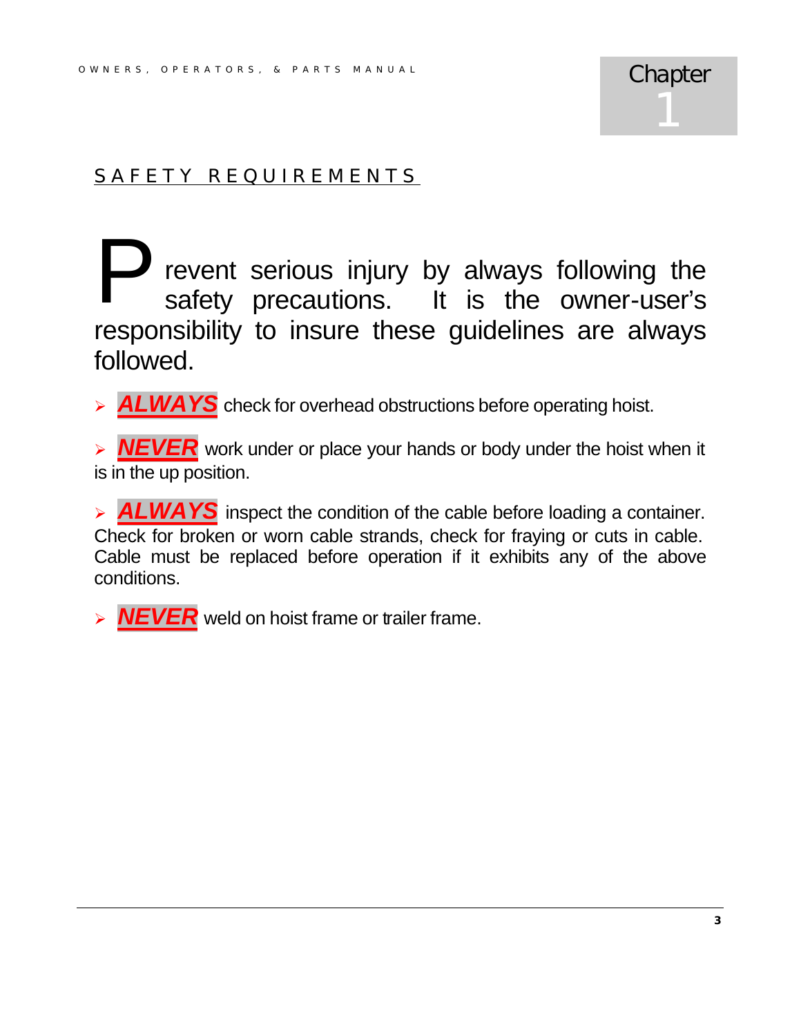## SAFETY REQUIREMENTS

revent serious injury by always following the safety precautions. It is the owner-user's responsibility to insure these guidelines are always followed. P

> **ALWAYS** check for overhead obstructions before operating hoist.

**NEVER** work under or place your hands or body under the hoist when it is in the up position.

> **ALWAYS** inspect the condition of the cable before loading a container. Check for broken or worn cable strands, check for fraying or cuts in cable. Cable must be replaced before operation if it exhibits any of the above conditions.

> **NEVER** weld on hoist frame or trailer frame.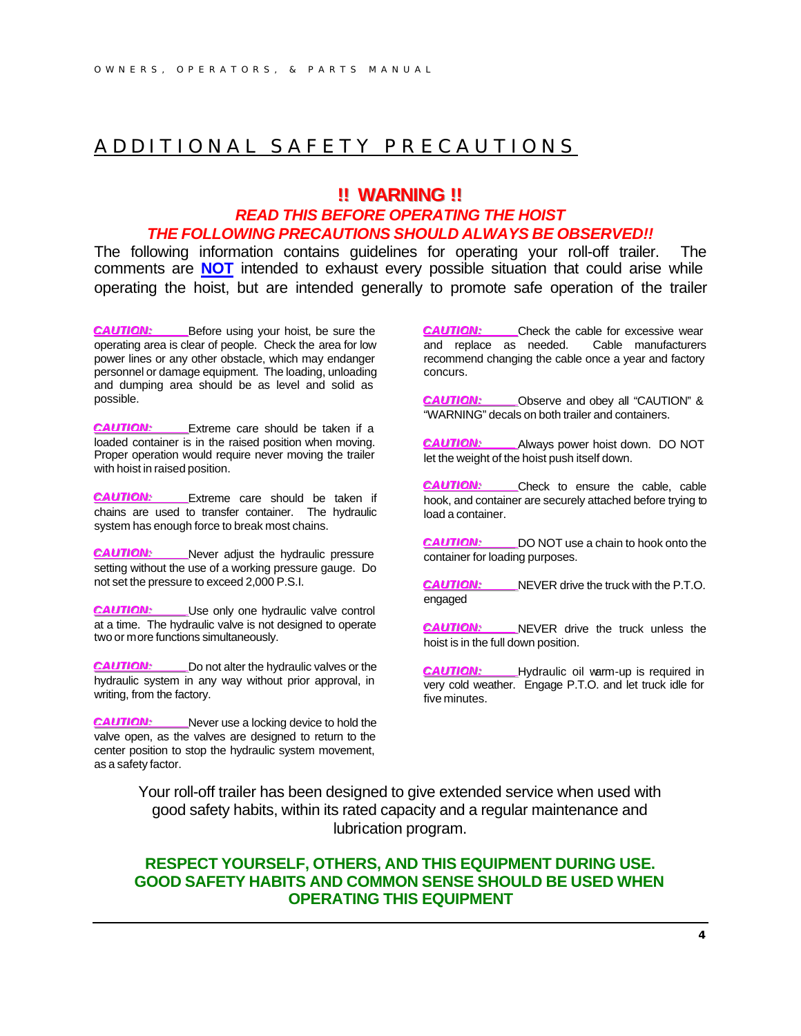#### ADDITIONAL SAFETY PR ECAUTIONS

#### **!!!! WARNIING !!!!**

#### *READ THIS BEFORE OPERATING THE HOIST THE FOLLOWING PRECAUTIONS SHOULD ALWAYS BE OBSERVED!!*

The following information contains guidelines for operating your roll-off trailer. The comments are **NOT** intended to exhaust every possible situation that could arise while operating the hoist, but are intended generally to promote safe operation of the trailer

*CCAAUUTTI IOONN: :* Before using your hoist, be sure the operating area is clear of people. Check the area for low power lines or any other obstacle, which may endanger personnel or damage equipment. The loading, unloading and dumping area should be as level and solid as possible.

*CCAAUUTTI IOONN: :* Extreme care should be taken if a loaded container is in the raised position when moving. Proper operation would require never moving the trailer with hoist in raised position.

*CCAAUUTTI IOONN: :* Extreme care should be taken if chains are used to transfer container. The hydraulic system has enough force to break most chains.

*CCAAUUTTI IOONN: :* Never adjust the hydraulic pressure setting without the use of a working pressure gauge. Do not set the pressure to exceed 2,000 P.S.I.

*CCAAUUTTI IOONN: :* Use only one hydraulic valve control at a time. The hydraulic valve is not designed to operate two or more functions simultaneously.

*CCAAUUTTI IOONN: :* Do not alter the hydraulic valves or the hydraulic system in any way without prior approval, in writing, from the factory.

*CCAAUUTTI IOONN: :* Never use a locking device to hold the valve open, as the valves are designed to return to the center position to stop the hydraulic system movement, as a safety factor.

*CCAAUUTTI IOONN: :* Check the cable for excessive wear and replace as needed. Cable manufacturers recommend changing the cable once a year and factory concurs.

*CCAAUUTTI IOONN: :* Observe and obey all "CAUTION" & "WARNING" decals on both trailer and containers.

*CCAAUUTTI IOONN: :* Always power hoist down. DO NOT let the weight of the hoist push itself down.

*CCAAUUTTI IOONN: :* Check to ensure the cable, cable hook, and container are securely attached before trying to load a container.

*CCAAUUTTI IOONN: :* DO NOT use a chain to hook onto the container for loading purposes.

*CCAAUUTTI IOONN: :* NEVER drive the truck with the P.T.O. engaged

*CCAAUUTTI IOONN: :* NEVER drive the truck unless the hoist is in the full down position.

*CCAAUUTTI IOONN: :* Hydraulic oil warm-up is required in very cold weather. Engage P.T.O. and let truck idle for five minutes.

Your roll-off trailer has been designed to give extended service when used with good safety habits, within its rated capacity and a regular maintenance and lubrication program.

#### **RESPECT YOURSELF, OTHERS, AND THIS EQUIPMENT DURING USE. GOOD SAFETY HABITS AND COMMON SENSE SHOULD BE USED WHEN OPERATING THIS EQUIPMENT**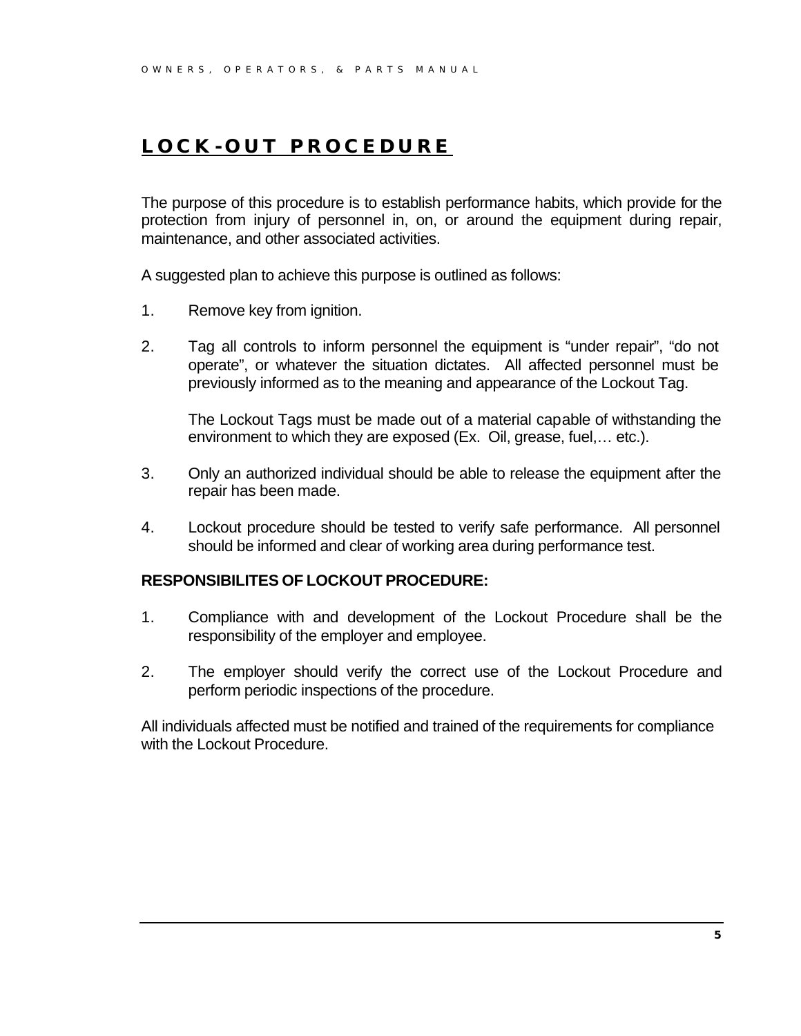## **LOCK - OUT PROCEDURE**

The purpose of this procedure is to establish performance habits, which provide for the protection from injury of personnel in, on, or around the equipment during repair, maintenance, and other associated activities.

A suggested plan to achieve this purpose is outlined as follows:

- 1. Remove key from ignition.
- 2. Tag all controls to inform personnel the equipment is "under repair", "do not operate", or whatever the situation dictates. All affected personnel must be previously informed as to the meaning and appearance of the Lockout Tag.

The Lockout Tags must be made out of a material capable of withstanding the environment to which they are exposed (Ex. Oil, grease, fuel,… etc.).

- 3. Only an authorized individual should be able to release the equipment after the repair has been made.
- 4. Lockout procedure should be tested to verify safe performance. All personnel should be informed and clear of working area during performance test.

#### **RESPONSIBILITES OF LOCKOUT PROCEDURE:**

- 1. Compliance with and development of the Lockout Procedure shall be the responsibility of the employer and employee.
- 2. The employer should verify the correct use of the Lockout Procedure and perform periodic inspections of the procedure.

All individuals affected must be notified and trained of the requirements for compliance with the Lockout Procedure.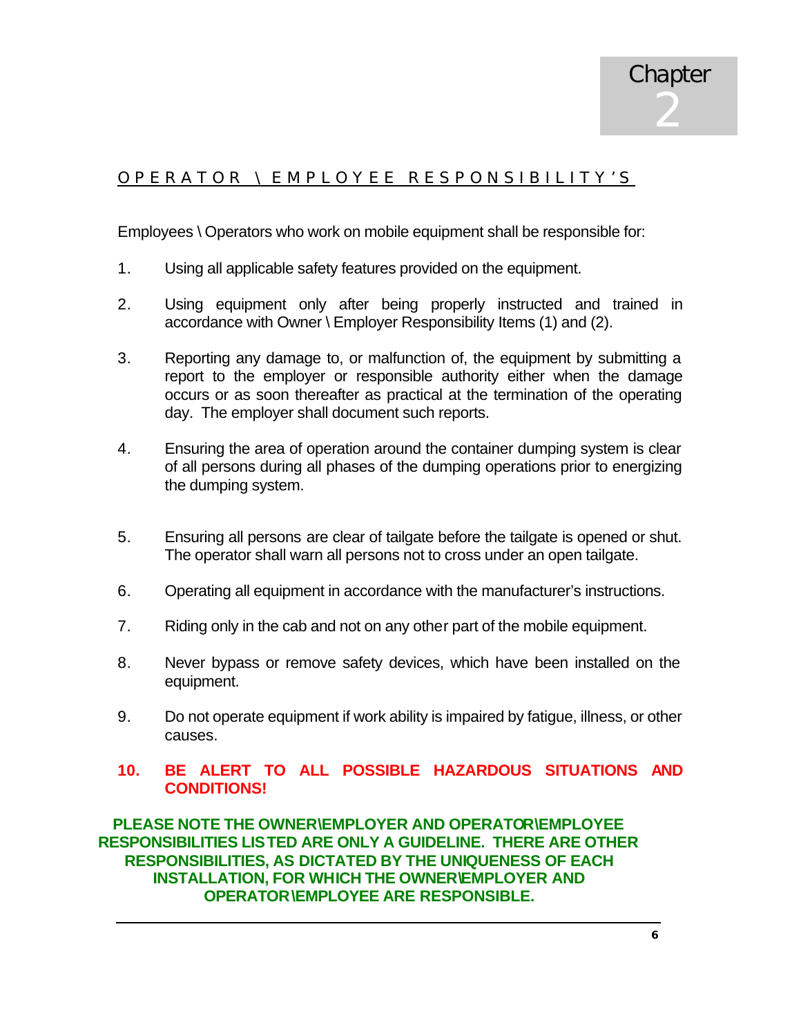#### OPERATOR \ EMPLOY EE RESPONSIBILITY'S

Employees \ Operators who work on mobile equipment shall be responsible for:

- 1. Using all applicable safety features provided on the equipment.
- 2. Using equipment only after being properly instructed and trained in accordance with Owner \ Employer Responsibility Items (1) and (2).
- 3. Reporting any damage to, or malfunction of, the equipment by submitting a report to the employer or responsible authority either when the damage occurs or as soon thereafter as practical at the termination of the operating day. The employer shall document such reports.
- 4. Ensuring the area of operation around the container dumping system is clear of all persons during all phases of the dumping operations prior to energizing the dumping system.
- 5. Ensuring all persons are clear of tailgate before the tailgate is opened or shut. The operator shall warn all persons not to cross under an open tailgate.
- 6. Operating all equipment in accordance with the manufacturer's instructions.
- 7. Riding only in the cab and not on any other part of the mobile equipment.
- 8. Never bypass or remove safety devices, which have been installed on the equipment.
- 9. Do not operate equipment if work ability is impaired by fatigue, illness, or other causes.

#### **10. BE ALERT TO ALL POSSIBLE HAZARDOUS SITUATIONS AND CONDITIONS!**

**PLEASE NOTE THE OWNER\EMPLOYER AND OPERATOR\EMPLOYEE RESPONSIBILITIES LISTED ARE ONLY A GUIDELINE. THERE ARE OTHER RESPONSIBILITIES, AS DICTATED BY THE UNIQUENESS OF EACH INSTALLATION, FOR WHICH THE OWNER\EMPLOYER AND OPERATOR\EMPLOYEE ARE RESPONSIBLE.**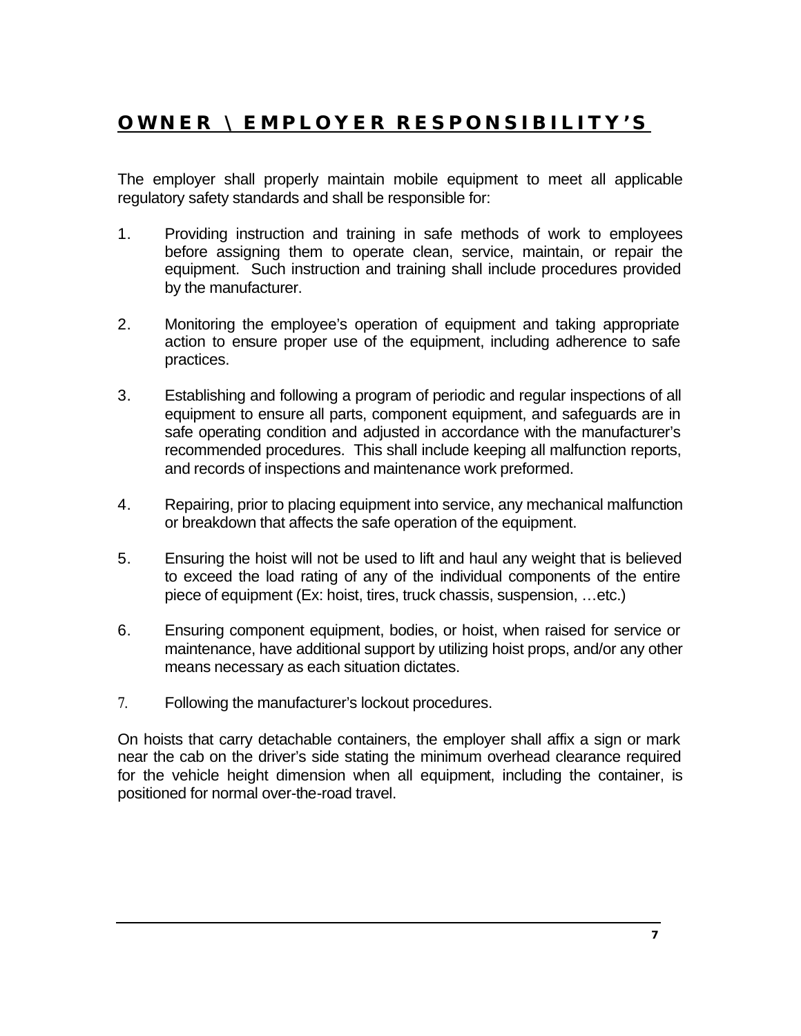## **OWNER \ EMPLOYER RESPONSIBILITY'S**

The employer shall properly maintain mobile equipment to meet all applicable regulatory safety standards and shall be responsible for:

- 1. Providing instruction and training in safe methods of work to employees before assigning them to operate clean, service, maintain, or repair the equipment. Such instruction and training shall include procedures provided by the manufacturer.
- 2. Monitoring the employee's operation of equipment and taking appropriate action to ensure proper use of the equipment, including adherence to safe practices.
- 3. Establishing and following a program of periodic and regular inspections of all equipment to ensure all parts, component equipment, and safeguards are in safe operating condition and adjusted in accordance with the manufacturer's recommended procedures. This shall include keeping all malfunction reports, and records of inspections and maintenance work preformed.
- 4. Repairing, prior to placing equipment into service, any mechanical malfunction or breakdown that affects the safe operation of the equipment.
- 5. Ensuring the hoist will not be used to lift and haul any weight that is believed to exceed the load rating of any of the individual components of the entire piece of equipment (Ex: hoist, tires, truck chassis, suspension, …etc.)
- 6. Ensuring component equipment, bodies, or hoist, when raised for service or maintenance, have additional support by utilizing hoist props, and/or any other means necessary as each situation dictates.
- 7. Following the manufacturer's lockout procedures.

On hoists that carry detachable containers, the employer shall affix a sign or mark near the cab on the driver's side stating the minimum overhead clearance required for the vehicle height dimension when all equipment, including the container, is positioned for normal over-the-road travel.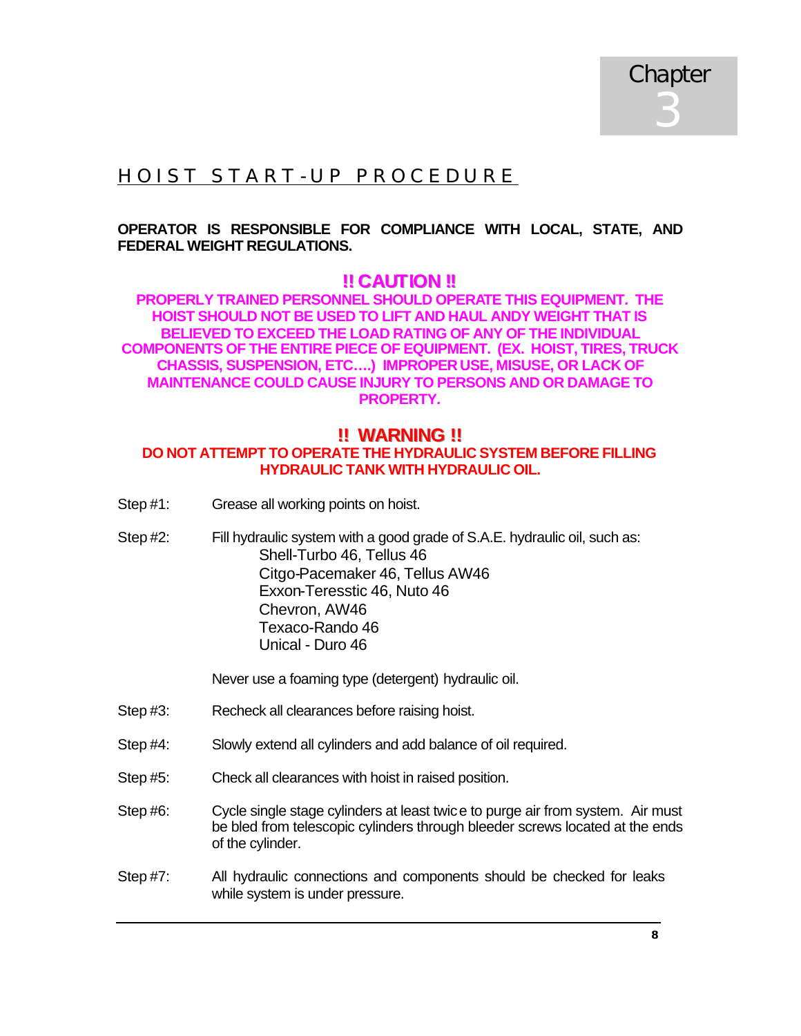

## HOIST START - UP PROCEDURE

#### **OPERATOR IS RESPONSIBLE FOR COMPLIANCE WITH LOCAL, STATE, AND FEDERAL WEIGHT REGULATIONS.**

#### **!! CAUTION!!**

**PROPERLY TRAINED PERSONNEL SHOULD OPERATE THIS EQUIPMENT. THE HOIST SHOULD NOT BE USED TO LIFT AND HAUL ANDY WEIGHT THAT IS BELIEVED TO EXCEED THE LOAD RATING OF ANY OF THE INDIVIDUAL COMPONENTS OF THE ENTIRE PIECE OF EQUIPMENT. (EX. HOIST, TIRES, TRUCK CHASSIS, SUSPENSION, ETC….) IMPROPER USE, MISUSE, OR LACK OF MAINTENANCE COULD CAUSE INJURY TO PERSONS AND OR DAMAGE TO PROPERTY.**

#### **!!!! WARNIING !!!!**

#### **DO NOT ATTEMPT TO OPERATE THE HYDRAULIC SYSTEM BEFORE FILLING HYDRAULIC TANK WITH HYDRAULIC OIL.**

- Step #1: Grease all working points on hoist.
- Step #2: Fill hydraulic system with a good grade of S.A.E. hydraulic oil, such as: Shell-Turbo 46, Tellus 46 Citgo-Pacemaker 46, Tellus AW46 Exxon-Teresstic 46, Nuto 46 Chevron, AW46 Texaco-Rando 46 Unical - Duro 46

Never use a foaming type (detergent) hydraulic oil.

- Step #3: Recheck all clearances before raising hoist.
- Step #4: Slowly extend all cylinders and add balance of oil required.
- Step #5: Check all clearances with hoist in raised position.
- Step #6: Cycle single stage cylinders at least twice to purge air from system. Air must be bled from telescopic cylinders through bleeder screws located at the ends of the cylinder.
- Step #7: All hydraulic connections and components should be checked for leaks while system is under pressure.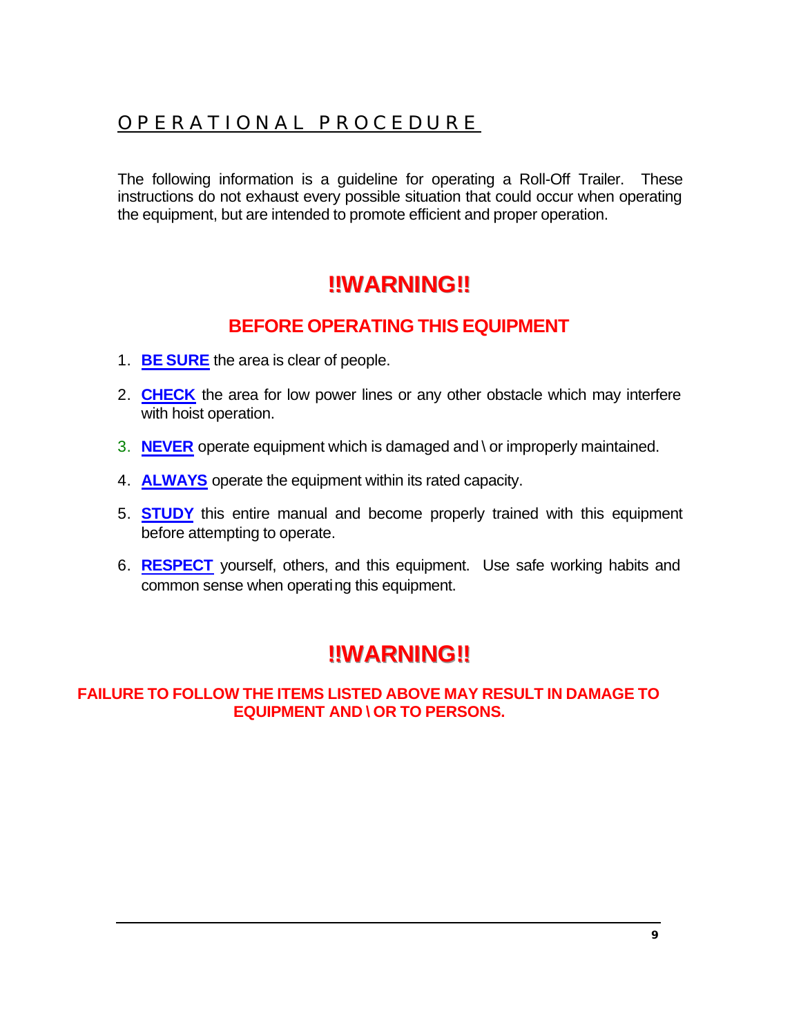## OPERATIONAL PROCEDURE

The following information is a guideline for operating a Roll-Off Trailer. These instructions do not exhaust every possible situation that could occur when operating the equipment, but are intended to promote efficient and proper operation.

## **!!!!WARNIING!!!!**

## **BEFORE OPERATING THIS EQUIPMENT**

- 1. **BE SURE** the area is clear of people.
- 2. **CHECK** the area for low power lines or any other obstacle which may interfere with hoist operation.
- 3. **NEVER** operate equipment which is damaged and \ or improperly maintained.
- 4. **ALWAYS** operate the equipment within its rated capacity.
- 5. **STUDY** this entire manual and become properly trained with this equipment before attempting to operate.
- 6. **RESPECT** yourself, others, and this equipment. Use safe working habits and common sense when operating this equipment.

## **!!!!WARNIING!!!!**

#### **FAILURE TO FOLLOW THE ITEMS LISTED ABOVE MAY RESULT IN DAMAGE TO EQUIPMENT AND \ OR TO PERSONS.**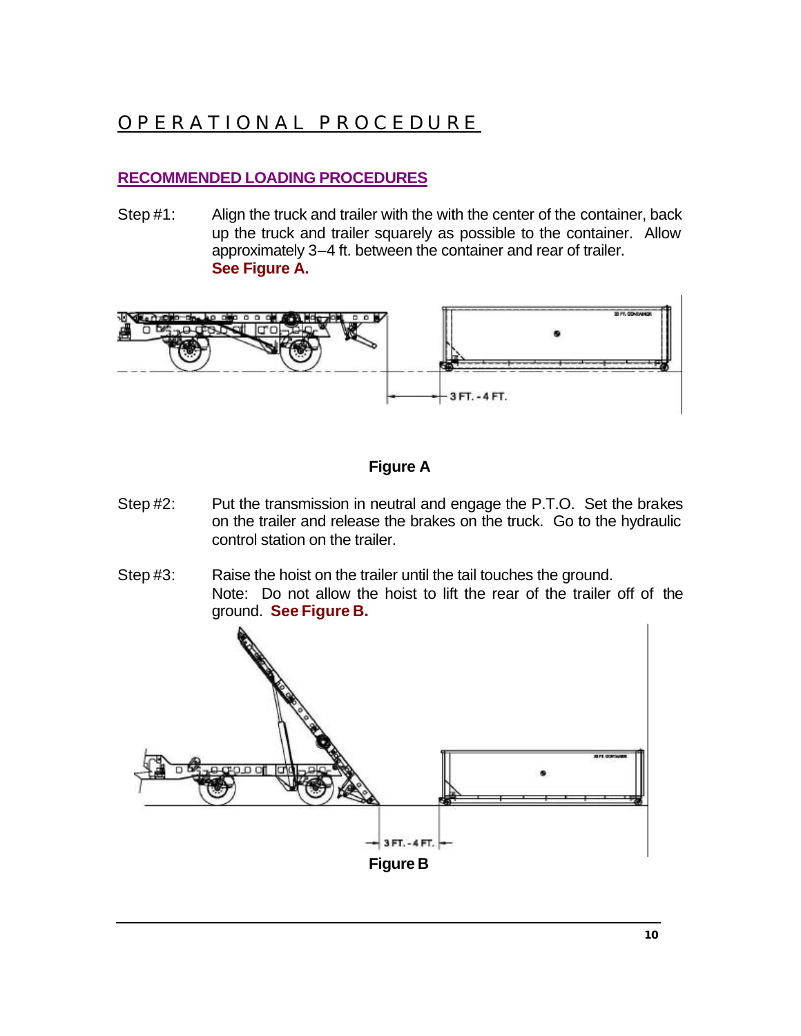## OPERATIONAL PROCEDURE

#### **RECOMMENDED LOADING PROCEDURES**

Step #1: Align the truck and trailer with the with the center of the container, back up the truck and trailer squarely as possible to the container. Allow approximately 3–4 ft. between the container and rear of trailer. **See Figure A.**



#### **Figure A**

- Step #2: Put the transmission in neutral and engage the P.T.O. Set the brakes on the trailer and release the brakes on the truck. Go to the hydraulic control station on the trailer.
- Step #3: Raise the hoist on the trailer until the tail touches the ground. Note: Do not allow the hoist to lift the rear of the trailer off of the ground. **See Figure B.**

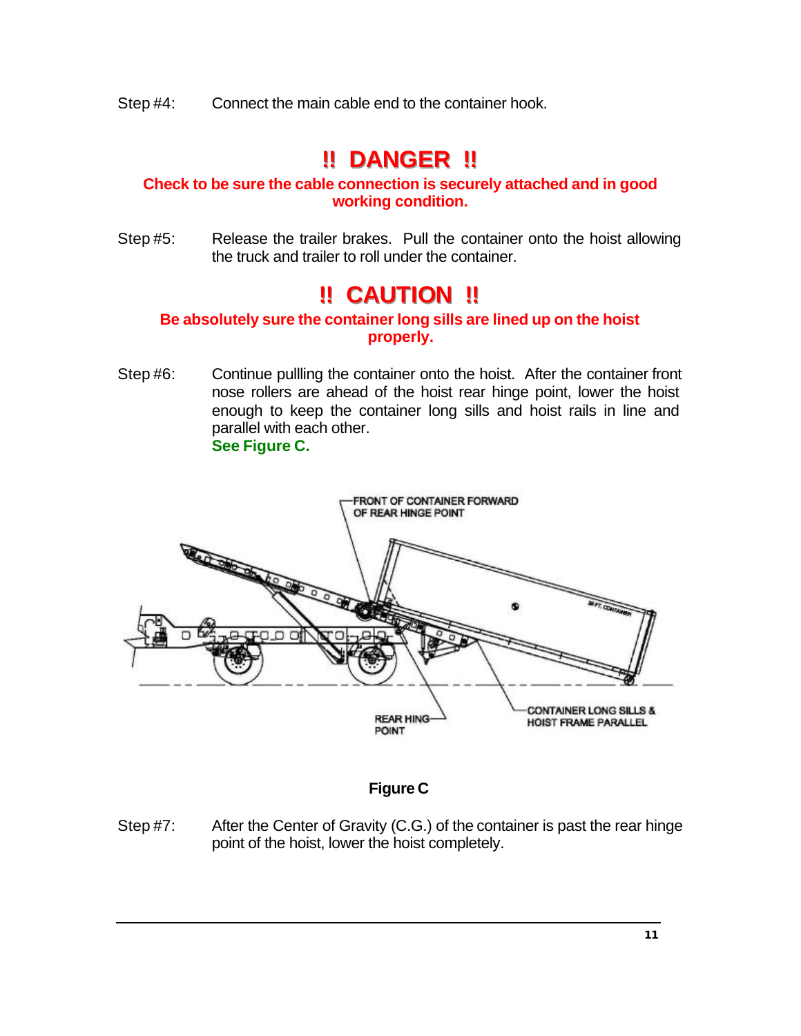Step #4: Connect the main cable end to the container hook.

## **!!!! DANGER !!!!**

#### **Check to be sure the cable connection is securely attached and in good working condition.**

Step #5: Release the trailer brakes. Pull the container onto the hoist allowing the truck and trailer to roll under the container.

## **!!!! CAUTIION !!!!**

#### **Be absolutely sure the container long sills are lined up on the hoist properly.**

Step #6: Continue pullling the container onto the hoist. After the container front nose rollers are ahead of the hoist rear hinge point, lower the hoist enough to keep the container long sills and hoist rails in line and parallel with each other. **See Figure C.**



#### **Figure C**

Step #7: After the Center of Gravity (C.G.) of the container is past the rear hinge point of the hoist, lower the hoist completely.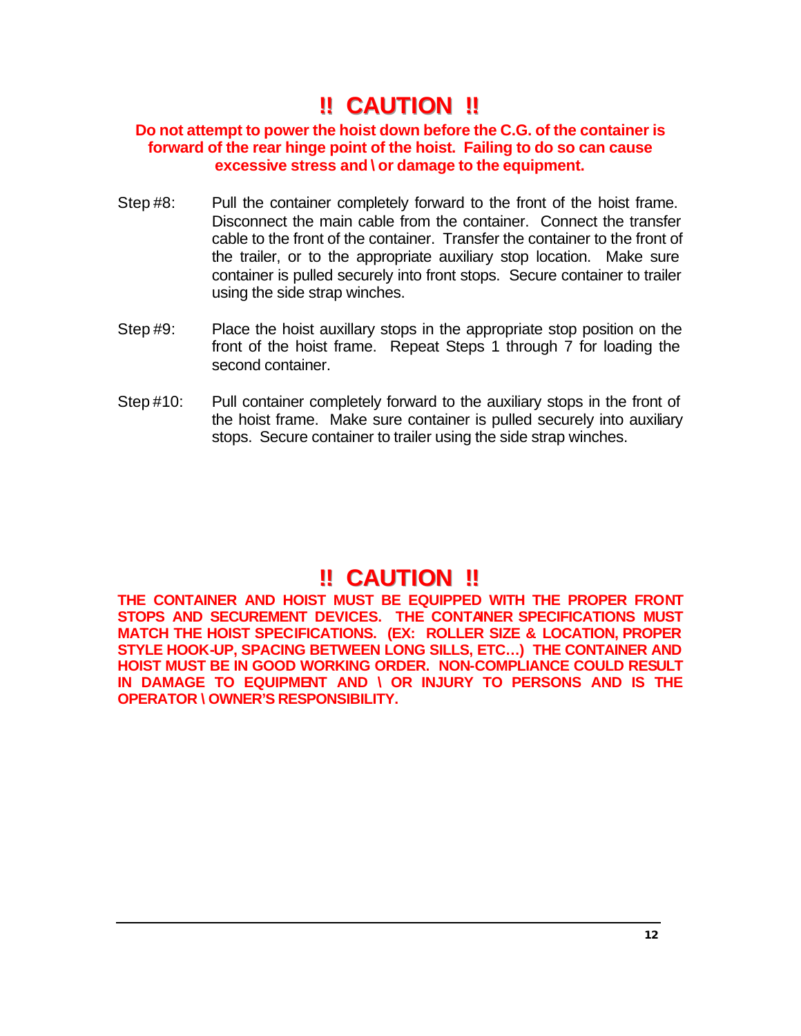## **!!!! CAUTIION !!!!**

#### **Do not attempt to power the hoist down before the C.G. of the container is forward of the rear hinge point of the hoist. Failing to do so can cause excessive stress and \ or damage to the equipment.**

- Step #8: Pull the container completely forward to the front of the hoist frame. Disconnect the main cable from the container. Connect the transfer cable to the front of the container. Transfer the container to the front of the trailer, or to the appropriate auxiliary stop location. Make sure container is pulled securely into front stops. Secure container to trailer using the side strap winches.
- Step #9: Place the hoist auxillary stops in the appropriate stop position on the front of the hoist frame. Repeat Steps 1 through 7 for loading the second container.
- Step #10: Pull container completely forward to the auxiliary stops in the front of the hoist frame. Make sure container is pulled securely into auxiliary stops. Secure container to trailer using the side strap winches.

## **!! CAUTION !!**

**THE CONTAINER AND HOIST MUST BE EQUIPPED WITH THE PROPER FRONT STOPS AND SECUREMENT DEVICES. THE CONTAINER SPECIFICATIONS MUST MATCH THE HOIST SPECIFICATIONS. (EX: ROLLER SIZE & LOCATION, PROPER STYLE HOOK-UP, SPACING BETWEEN LONG SILLS, ETC…) THE CONTAINER AND HOIST MUST BE IN GOOD WORKING ORDER. NON-COMPLIANCE COULD RESULT IN DAMAGE TO EQUIPMENT AND \ OR INJURY TO PERSONS AND IS THE OPERATOR \ OWNER'S RESPONSIBILITY.**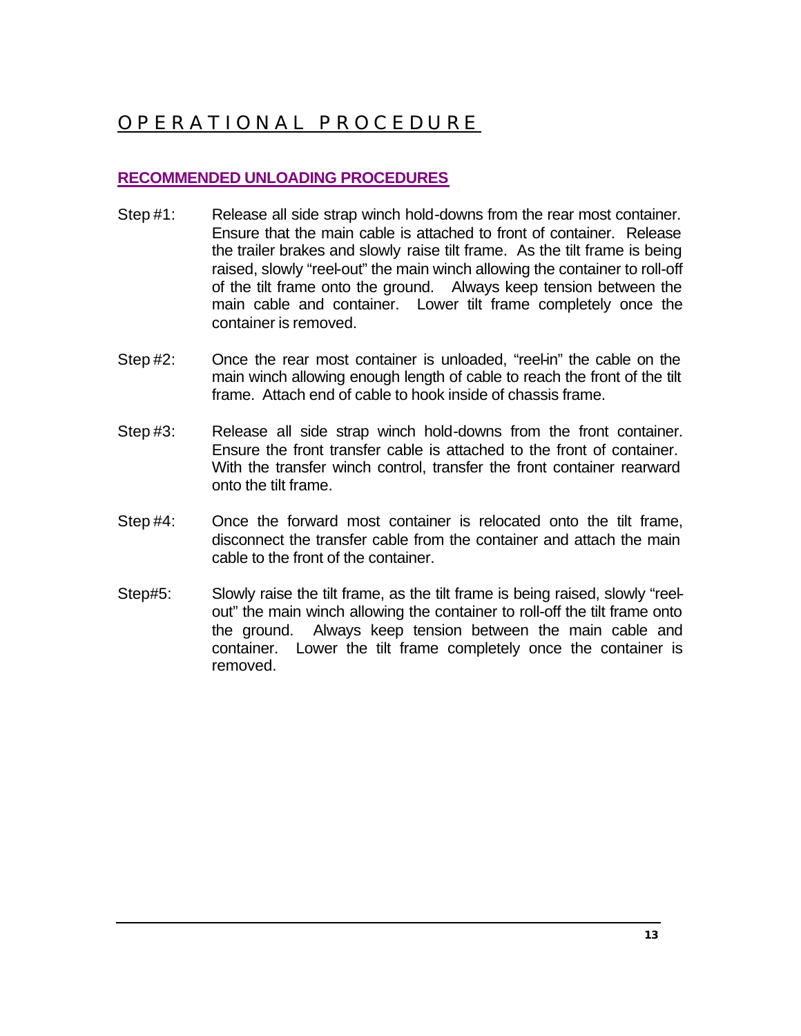## OPERATIONAL PROCEDURE

#### **RECOMMENDED UNLOADING PROCEDURES**

- Step #1: Release all side strap winch hold-downs from the rear most container. Ensure that the main cable is attached to front of container. Release the trailer brakes and slowly raise tilt frame. As the tilt frame is being raised, slowly "reel-out" the main winch allowing the container to roll-off of the tilt frame onto the ground. Always keep tension between the main cable and container. Lower tilt frame completely once the container is removed.
- Step #2: Once the rear most container is unloaded, "reel-in" the cable on the main winch allowing enough length of cable to reach the front of the tilt frame. Attach end of cable to hook inside of chassis frame.
- Step #3: Release all side strap winch hold-downs from the front container. Ensure the front transfer cable is attached to the front of container. With the transfer winch control, transfer the front container rearward onto the tilt frame.
- Step #4: Once the forward most container is relocated onto the tilt frame, disconnect the transfer cable from the container and attach the main cable to the front of the container.
- Step#5: Slowly raise the tilt frame, as the tilt frame is being raised, slowly "reelout" the main winch allowing the container to roll-off the tilt frame onto the ground. Always keep tension between the main cable and container. Lower the tilt frame completely once the container is removed.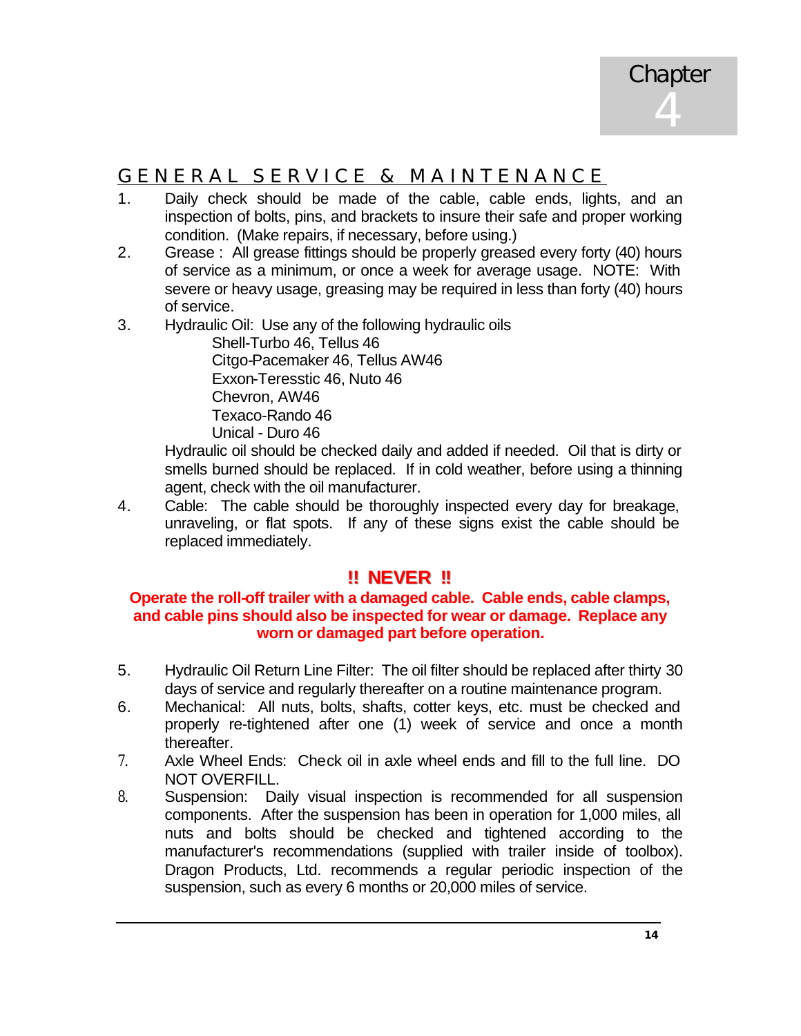## GENERAL SERVICE & MA INTENANCE

- 1. Daily check should be made of the cable, cable ends, lights, and an inspection of bolts, pins, and brackets to insure their safe and proper working condition. (Make repairs, if necessary, before using.)
- 2. Grease : All grease fittings should be properly greased every forty (40) hours of service as a minimum, or once a week for average usage. NOTE: With severe or heavy usage, greasing may be required in less than forty (40) hours of service.
- 3. Hydraulic Oil: Use any of the following hydraulic oils

Shell-Turbo 46, Tellus 46 Citgo-Pacemaker 46, Tellus AW46 Exxon-Teresstic 46, Nuto 46 Chevron, AW46 Texaco-Rando 46 Unical - Duro 46

Hydraulic oil should be checked daily and added if needed. Oil that is dirty or smells burned should be replaced. If in cold weather, before using a thinning agent, check with the oil manufacturer.

4. Cable: The cable should be thoroughly inspected every day for breakage, unraveling, or flat spots. If any of these signs exist the cable should be replaced immediately.

#### **!!!! NEVER !!!!**

#### **Operate the roll-off trailer with a damaged cable. Cable ends, cable clamps, and cable pins should also be inspected for wear or damage. Replace any worn or damaged part before operation.**

- 5. Hydraulic Oil Return Line Filter: The oil filter should be replaced after thirty 30 days of service and regularly thereafter on a routine maintenance program.
- 6. Mechanical: All nuts, bolts, shafts, cotter keys, etc. must be checked and properly re-tightened after one (1) week of service and once a month thereafter.
- 7. Axle Wheel Ends: Check oil in axle wheel ends and fill to the full line. DO NOT OVERFILL.
- 8. Suspension: Daily visual inspection is recommended for all suspension components. After the suspension has been in operation for 1,000 miles, all nuts and bolts should be checked and tightened according to the manufacturer's recommendations (supplied with trailer inside of toolbox). Dragon Products, Ltd. recommends a regular periodic inspection of the suspension, such as every 6 months or 20,000 miles of service.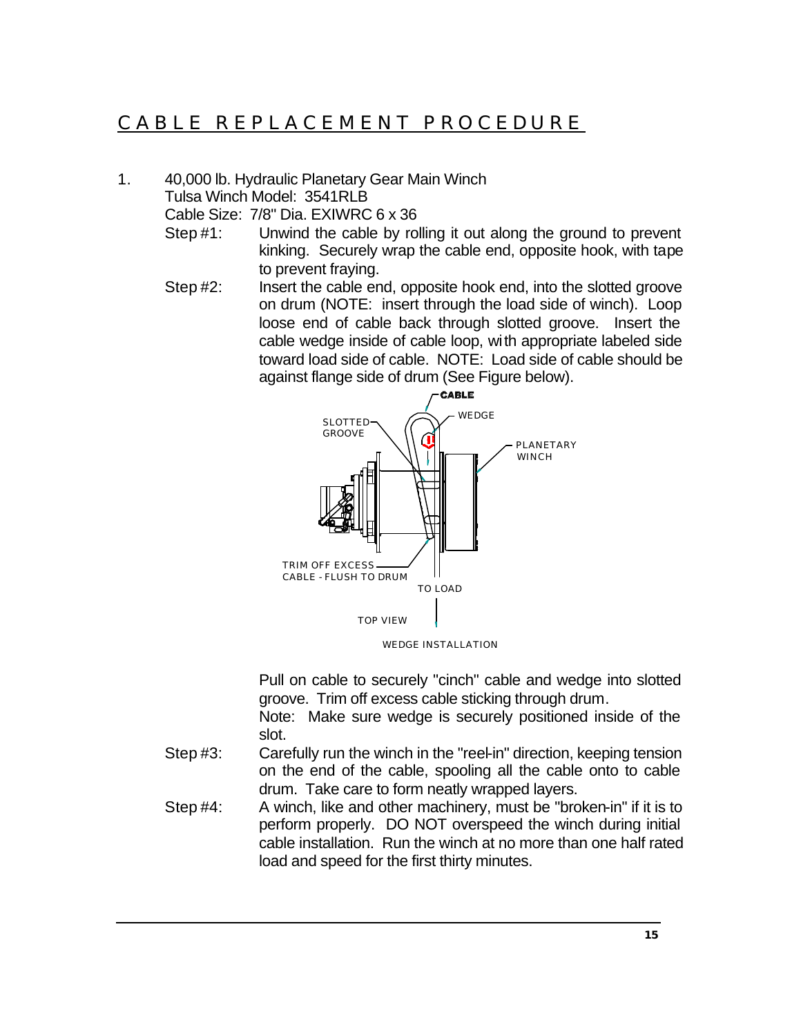## CABLE REPLACEMENT PROCEDURE

1. 40,000 lb. Hydraulic Planetary Gear Main Winch Tulsa Winch Model: 3541RLB

Cable Size: 7/8" Dia. EXIWRC 6 x 36

- Step #1: Unwind the cable by rolling it out along the ground to prevent kinking. Securely wrap the cable end, opposite hook, with tape to prevent fraying.
- Step #2: Insert the cable end, opposite hook end, into the slotted groove on drum (NOTE: insert through the load side of winch). Loop loose end of cable back through slotted groove. Insert the cable wedge inside of cable loop, with appropriate labeled side toward load side of cable. NOTE: Load side of cable should be against flange side of drum (See Figure below).



Pull on cable to securely "cinch" cable and wedge into slotted groove. Trim off excess cable sticking through drum.

Note: Make sure wedge is securely positioned inside of the slot.

- Step #3: Carefully run the winch in the "reel-in" direction, keeping tension on the end of the cable, spooling all the cable onto to cable drum. Take care to form neatly wrapped layers.
- Step #4: A winch, like and other machinery, must be "broken-in" if it is to perform properly. DO NOT overspeed the winch during initial cable installation. Run the winch at no more than one half rated load and speed for the first thirty minutes.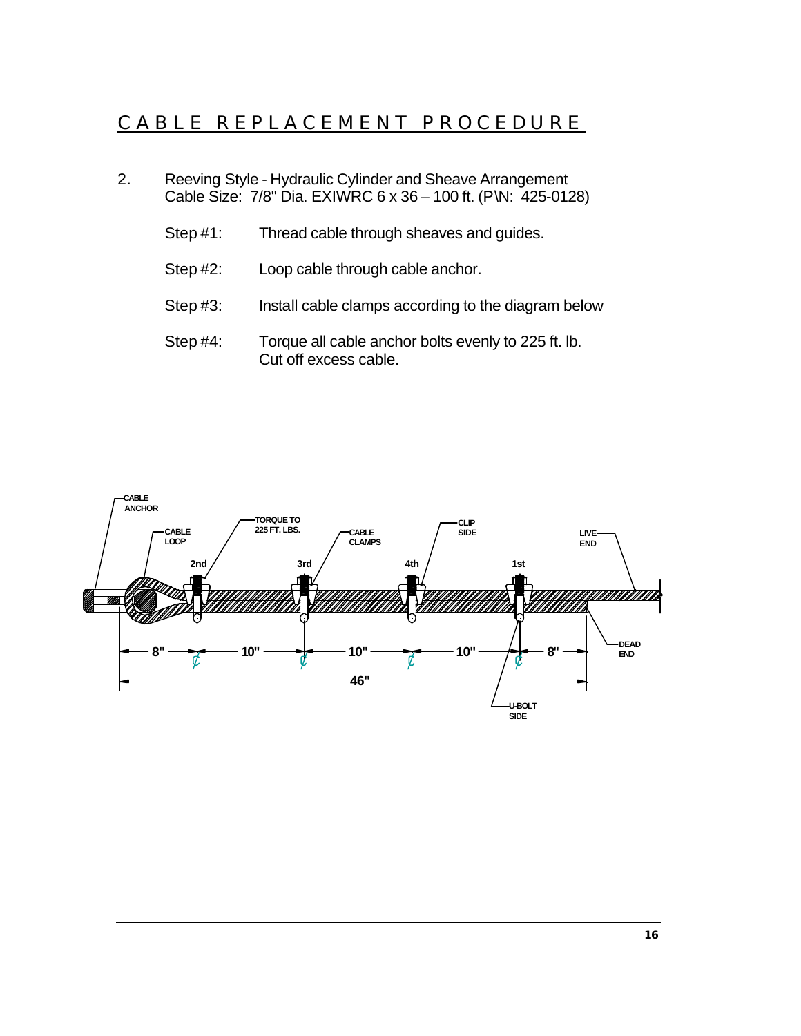## CABLE REPLACEMENT PROCEDURE

- 2. Reeving Style Hydraulic Cylinder and Sheave Arrangement Cable Size: 7/8" Dia. EXIWRC 6 x 36 – 100 ft. (P\N: 425-0128)
	- Step #1: Thread cable through sheaves and guides.
	- Step #2: Loop cable through cable anchor.
	- Step #3: Install cable clamps according to the diagram below
	- Step #4: Torque all cable anchor bolts evenly to 225 ft. lb. Cut off excess cable.

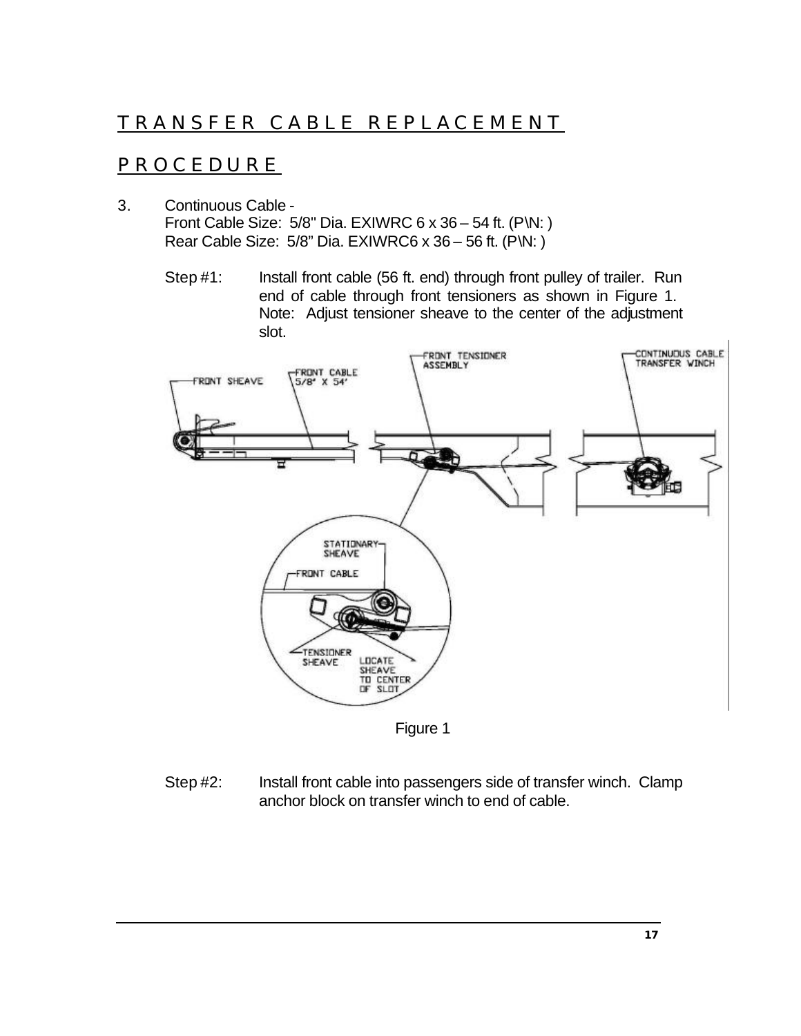## TRANSFER CABLE REPLACEMENT

### PROCEDURE

- 3. Continuous Cable Front Cable Size: 5/8" Dia. EXIWRC 6 x 36 – 54 ft. (P\N: ) Rear Cable Size: 5/8" Dia. EXIWRC6 x 36 – 56 ft. (P\N: )
	- Step #1: Install front cable (56 ft. end) through front pulley of trailer. Run end of cable through front tensioners as shown in Figure 1. Note: Adjust tensioner sheave to the center of the adjustment slot.



Figure 1

Step #2: Install front cable into passengers side of transfer winch. Clamp anchor block on transfer winch to end of cable.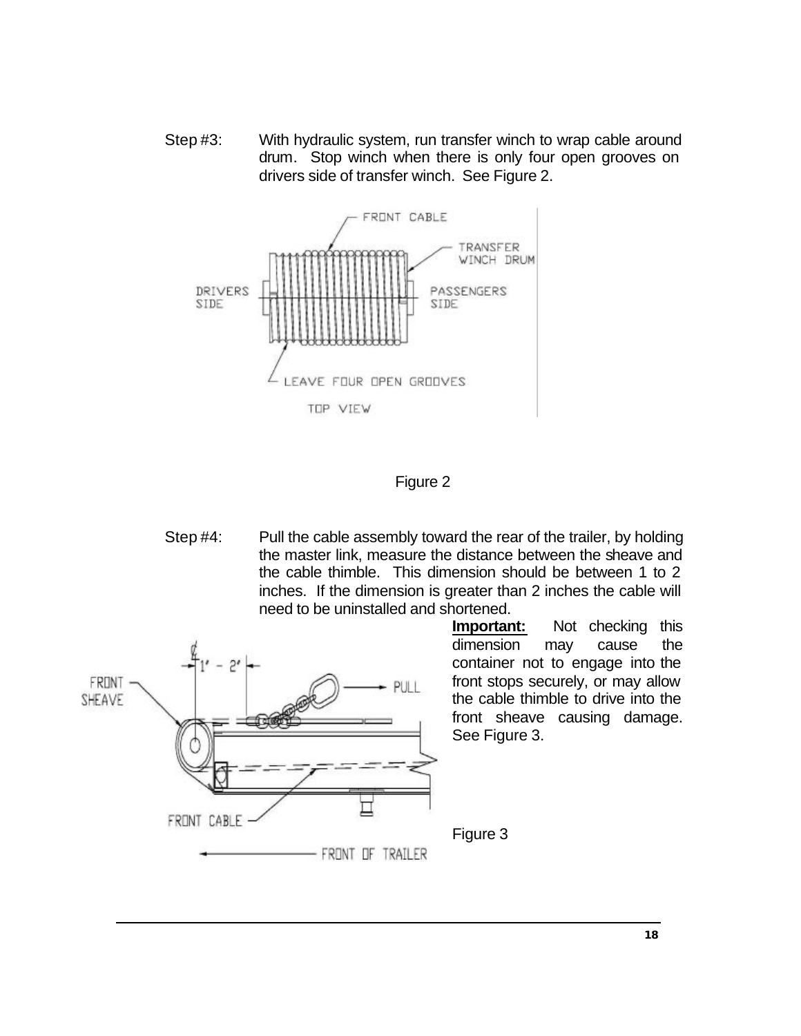Step #3: With hydraulic system, run transfer winch to wrap cable around drum. Stop winch when there is only four open grooves on drivers side of transfer winch. See Figure 2.



#### Figure 2

Step #4: Pull the cable assembly toward the rear of the trailer, by holding the master link, measure the distance between the sheave and the cable thimble. This dimension should be between 1 to 2 inches. If the dimension is greater than 2 inches the cable will need to be uninstalled and shortened.



**Important:** Not checking this dimension may cause the container not to engage into the front stops securely, or may allow the cable thimble to drive into the front sheave causing damage. See Figure 3.

Figure 3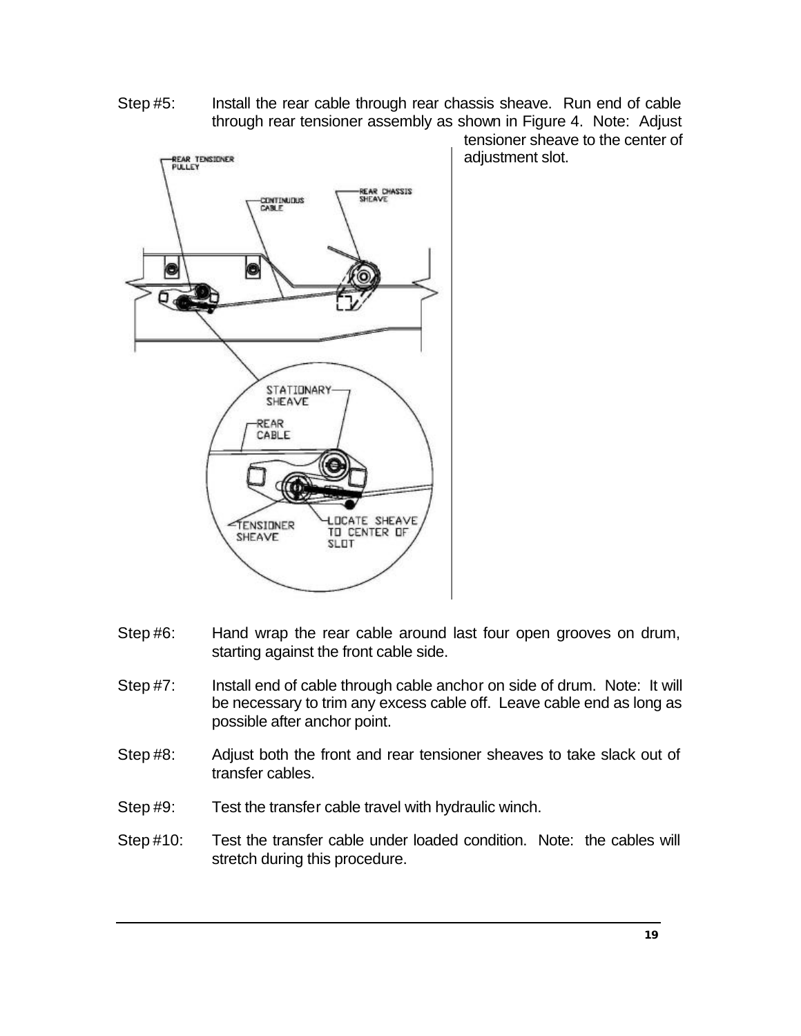Step #5: Install the rear cable through rear chassis sheave. Run end of cable through rear tensioner assembly as shown in Figure 4. Note: Adjust



tensioner sheave to the center of adjustment slot.

- Step #6: Hand wrap the rear cable around last four open grooves on drum, starting against the front cable side.
- Step #7: Install end of cable through cable anchor on side of drum. Note: It will be necessary to trim any excess cable off. Leave cable end as long as possible after anchor point.
- Step #8: Adjust both the front and rear tensioner sheaves to take slack out of transfer cables.
- Step #9: Test the transfer cable travel with hydraulic winch.
- Step #10: Test the transfer cable under loaded condition. Note: the cables will stretch during this procedure.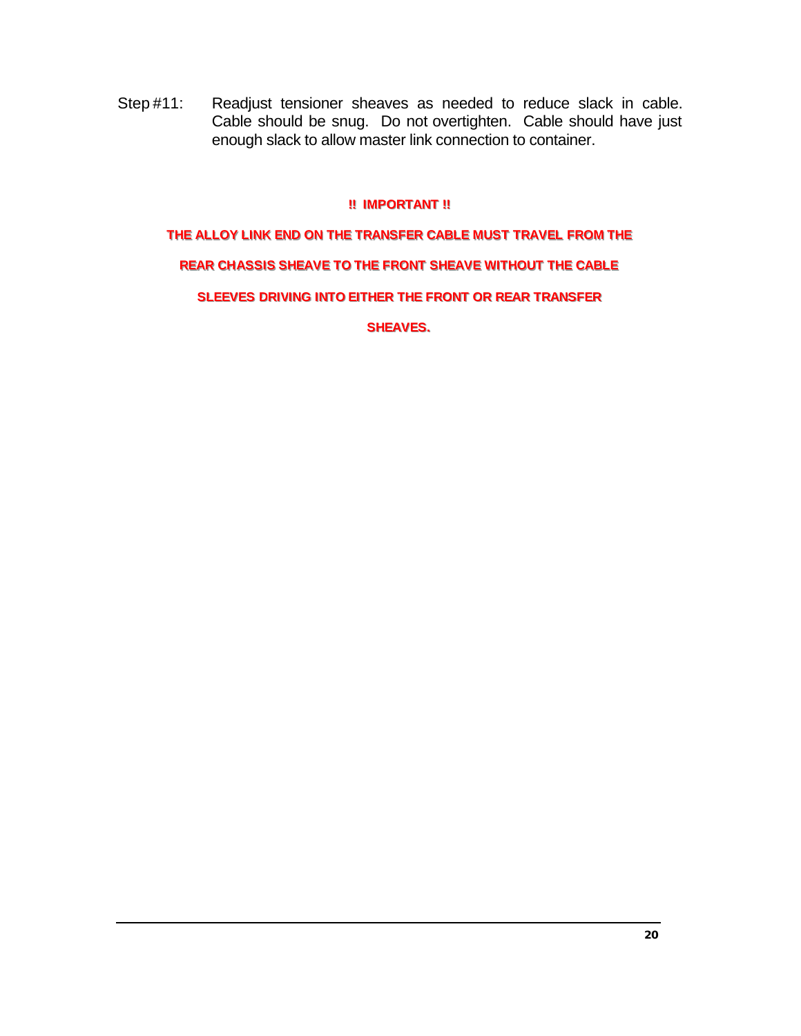Step #11: Readjust tensioner sheaves as needed to reduce slack in cable. Cable should be snug. Do not overtighten. Cable should have just enough slack to allow master link connection to container.

#### **!! IMPORTANT!!**

## **THE ALLOY LINK END ON THE TRANSFER CABLE MUST TRAVEL FROM THE REAR CHASSIS SHEAVE TO THE FRONT SHEAVE WITHOUT THE CABLE SLEEVES DRIVING INTO EITHER THE FRONT OR REAR TRANSFER SHEAVES.**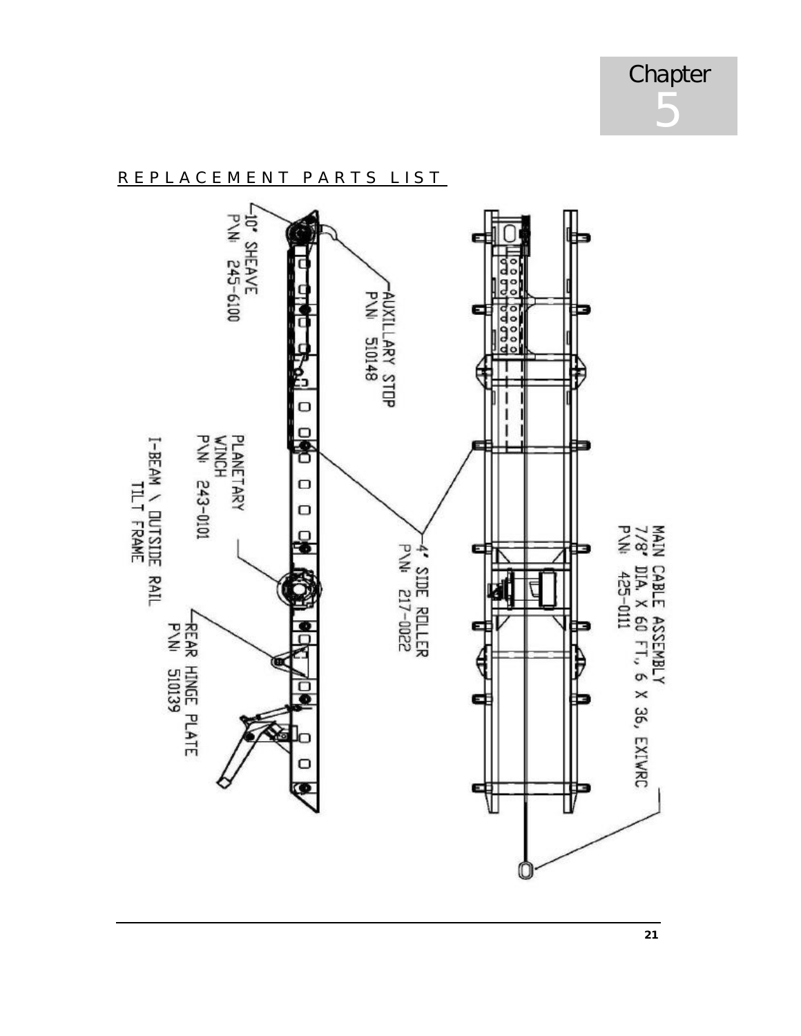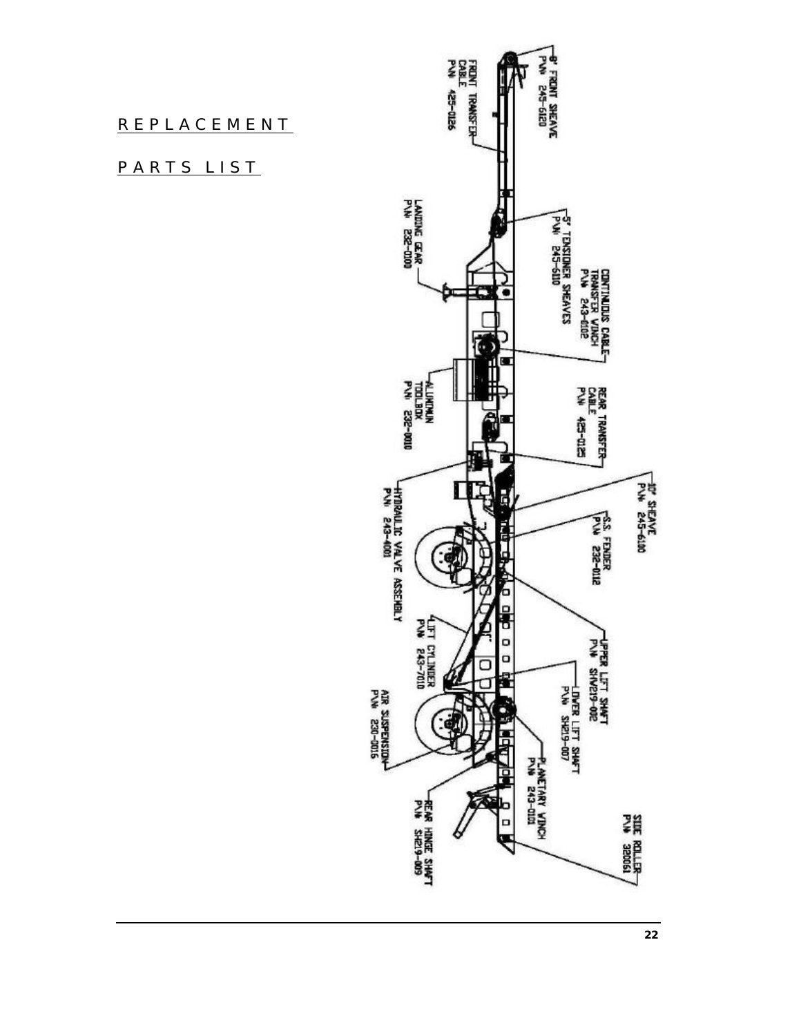#### REPLACEMENT

#### PARTS LIST

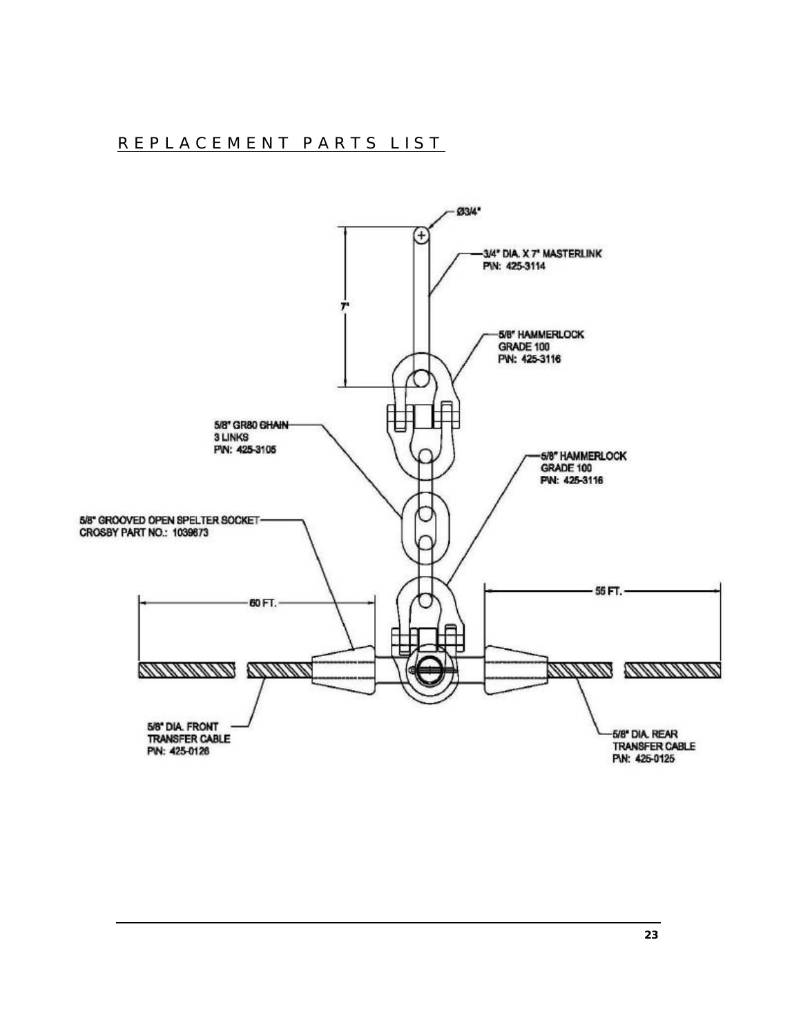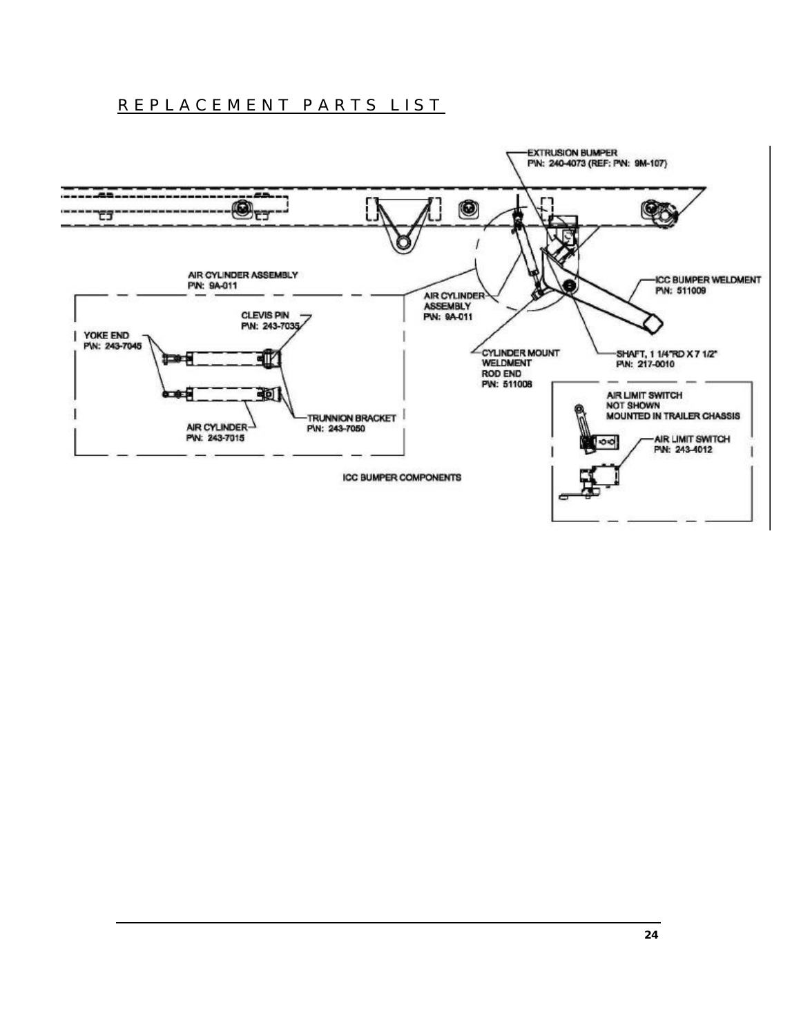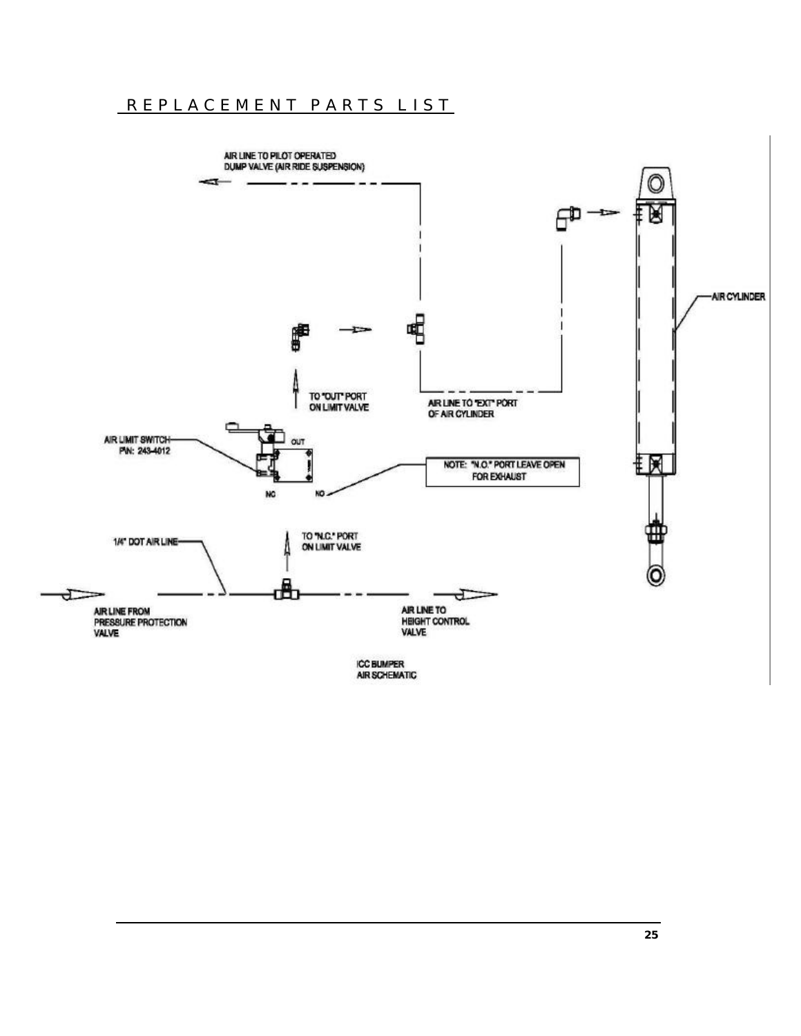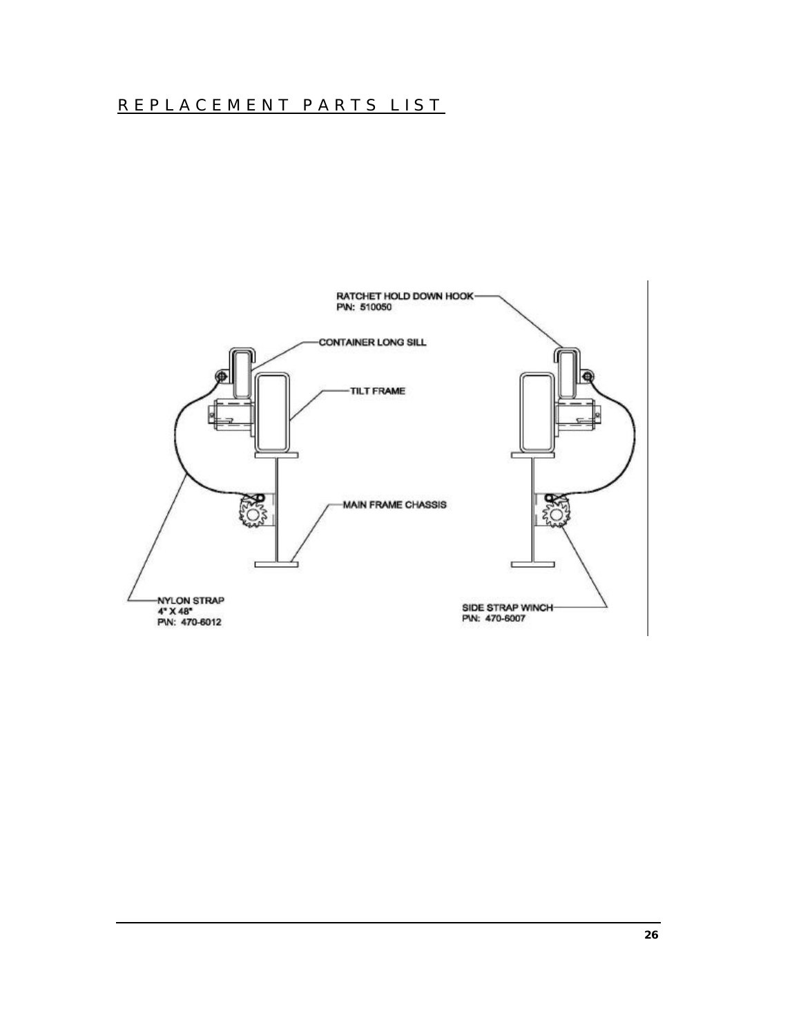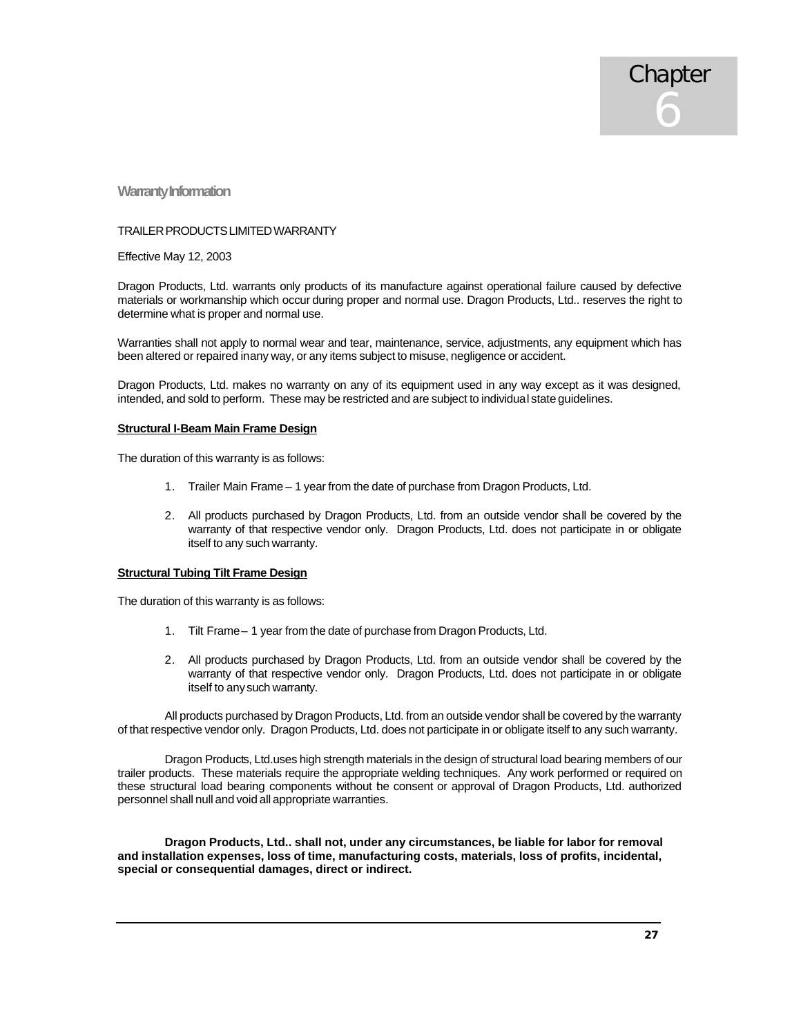**Warranty Information**

#### TRAILER PRODUCTS LIMITED WARRANTY

Effective May 12, 2003

Dragon Products, Ltd. warrants only products of its manufacture against operational failure caused by defective materials or workmanship which occur during proper and normal use. Dragon Products, Ltd.. reserves the right to determine what is proper and normal use.

Warranties shall not apply to normal wear and tear, maintenance, service, adjustments, any equipment which has been altered or repaired in any way, or any items subject to misuse, negligence or accident.

Dragon Products, Ltd. makes no warranty on any of its equipment used in any way except as it was designed, intended, and sold to perform. These may be restricted and are subject to individual state guidelines.

#### **Structural I-Beam Main Frame Design**

The duration of this warranty is as follows:

- 1. Trailer Main Frame 1 year from the date of purchase from Dragon Products, Ltd.
- 2. All products purchased by Dragon Products, Ltd. from an outside vendor shall be covered by the warranty of that respective vendor only. Dragon Products, Ltd. does not participate in or obligate itself to any such warranty.

#### **Structural Tubing Tilt Frame Design**

The duration of this warranty is as follows:

- 1. Tilt Frame 1 year from the date of purchase from Dragon Products, Ltd.
- 2. All products purchased by Dragon Products, Ltd. from an outside vendor shall be covered by the warranty of that respective vendor only. Dragon Products, Ltd. does not participate in or obligate itself to any such warranty.

All products purchased by Dragon Products, Ltd. from an outside vendor shall be covered by the warranty of that respective vendor only. Dragon Products, Ltd. does not participate in or obligate itself to any such warranty.

Dragon Products, Ltd.uses high strength materials in the design of structural load bearing members of our trailer products. These materials require the appropriate welding techniques. Any work performed or required on these structural load bearing components without the consent or approval of Dragon Products, Ltd. authorized personnel shall null and void all appropriate warranties.

**Dragon Products, Ltd.. shall not, under any circumstances, be liable for labor for removal and installation expenses, loss of time, manufacturing costs, materials, loss of profits, incidental, special or consequential damages, direct or indirect.**